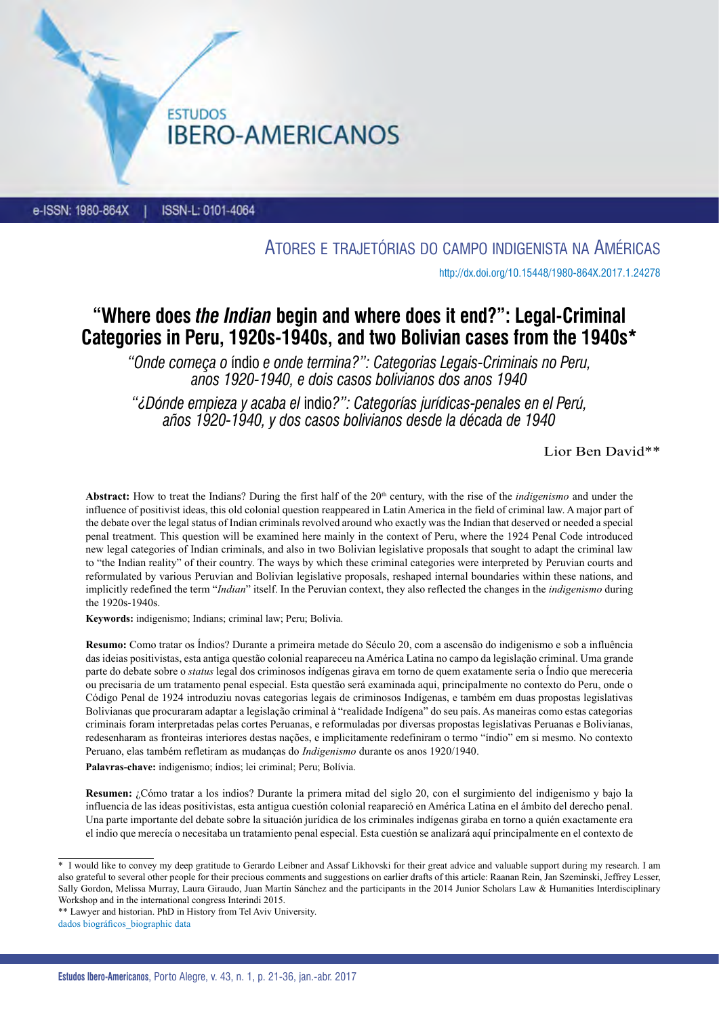**IBERO-AMERICANOS** 

**ESTUDOS** 

ISSN-L: 0101-4064 e-ISSN: 1980-864X

Atores e trajetórias do campo indigenista na Américas

<http://dx.doi.org/10.15448/1980-864X.2017.1.24278>

# **"Where does** *the Indian* **begin and where does it end?": Legal-Criminal Categories in Peru, 1920s-1940s, and two Bolivian cases from the 1940s\***

*"Onde começa o* índio *e onde termina?": Categorias Legais-Criminais no Peru, anos 1920-1940, e dois casos bolivianos dos anos 1940*

*"¿Dónde empieza y acaba el* indio*?": Categorías jurídicas-penales en el Perú, años 1920-1940, y dos casos bolivianos desde la década de 1940*

Lior Ben David\*\*

Abstract: How to treat the Indians? During the first half of the 20<sup>th</sup> century, with the rise of the *indigenismo* and under the influence of positivist ideas, this old colonial question reappeared in Latin America in the field of criminal law. A major part of the debate over the legal status of Indian criminals revolved around who exactly was the Indian that deserved or needed a special penal treatment. This question will be examined here mainly in the context of Peru, where the 1924 Penal Code introduced new legal categories of Indian criminals, and also in two Bolivian legislative proposals that sought to adapt the criminal law to "the Indian reality" of their country. The ways by which these criminal categories were interpreted by Peruvian courts and reformulated by various Peruvian and Bolivian legislative proposals, reshaped internal boundaries within these nations, and implicitly redefined the term "*Indian*" itself. In the Peruvian context, they also reflected the changes in the *indigenismo* during the 1920s-1940s.

**Keywords:** indigenismo; Indians; criminal law; Peru; Bolivia.

**Resumo:** Como tratar os Índios? Durante a primeira metade do Século 20, com a ascensão do indigenismo e sob a influência das ideias positivistas, esta antiga questão colonial reapareceu na América Latina no campo da legislação criminal. Uma grande parte do debate sobre o *status* legal dos criminosos indígenas girava em torno de quem exatamente seria o Índio que mereceria ou precisaria de um tratamento penal especial. Esta questão será examinada aqui, principalmente no contexto do Peru, onde o Código Penal de 1924 introduziu novas categorias legais de criminosos Indígenas, e também em duas propostas legislativas Bolivianas que procuraram adaptar a legislação criminal à "realidade Indígena" do seu país. As maneiras como estas categorias criminais foram interpretadas pelas cortes Peruanas, e reformuladas por diversas propostas legislativas Peruanas e Bolivianas, redesenharam as fronteiras interiores destas nações, e implicitamente redefiniram o termo "índio" em si mesmo. No contexto Peruano, elas também refletiram as mudanças do *Indigenismo* durante os anos 1920/1940.

**Palavras-chave:** indigenismo; índios; lei criminal; Peru; Bolívia.

**Resumen:** ¿Cómo tratar a los indios? Durante la primera mitad del siglo 20, con el surgimiento del indigenismo y bajo la influencia de las ideas positivistas, esta antigua cuestión colonial reapareció en América Latina en el ámbito del derecho penal. Una parte importante del debate sobre la situación jurídica de los criminales indígenas giraba en torno a quién exactamente era el indio que merecía o necesitaba un tratamiento penal especial. Esta cuestión se analizará aquí principalmente en el contexto de

<sup>&</sup>lt;sup>\*</sup> I would like to convey my deep gratitude to Gerardo Leibner and Assaf Likhovski for their great advice and valuable support during my research. I am also grateful to several other people for their precious comments and suggestions on earlier drafts of this article: Raanan Rein, Jan Szeminski, Jeffrey Lesser, Sally Gordon, Melissa Murray, Laura Giraudo, Juan Martín Sánchez and the participants in the 2014 Junior Scholars Law & Humanities Interdisciplinary Workshop and in the international congress Interindi 2015.

<sup>\*\*</sup> Lawyer and historian. PhD in History from Tel Aviv University.

dados biográficos\_biographic data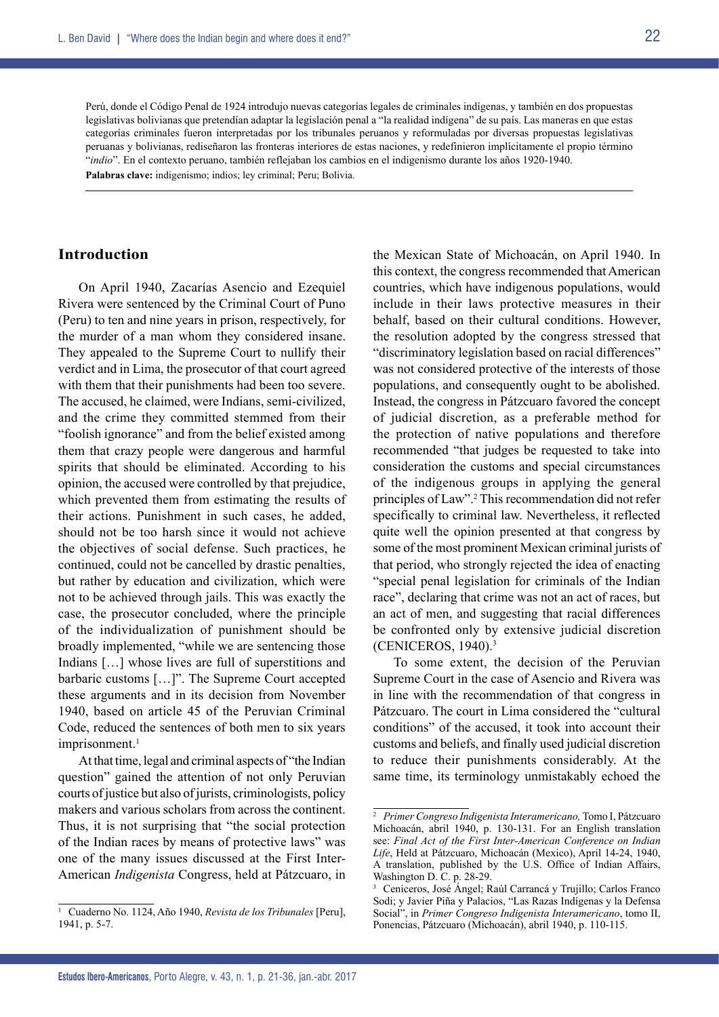Perú, donde el Código Penal de 1924 introdujo nuevas categorías legales de criminales indígenas, y también en dos propuestas legislativas bolivianas que pretendían adaptar la legislación penal a "la realidad indígena" de su país. Las maneras en que estas categorías criminales fueron interpretadas por los tribunales peruanos y reformuladas por diversas propuestas legislativas peruanas y bolivianas, rediseñaron las fronteras interiores de estas naciones, y redefinieron implícitamente el propio término "*indio*". En el contexto peruano, también reflejaban los cambios en el indigenismo durante los años 1920-1940.

**Palabras clave:** indigenismo; indios; ley criminal; Peru; Bolivia.

### **Introduction**

On April 1940, Zacarías Asencio and Ezequiel Rivera were sentenced by the Criminal Court of Puno (Peru) to ten and nine years in prison, respectively, for the murder of a man whom they considered insane. They appealed to the Supreme Court to nullify their verdict and in Lima, the prosecutor of that court agreed with them that their punishments had been too severe. The accused, he claimed, were Indians, semi-civilized, and the crime they committed stemmed from their "foolish ignorance" and from the belief existed among them that crazy people were dangerous and harmful spirits that should be eliminated. According to his opinion, the accused were controlled by that prejudice, which prevented them from estimating the results of their actions. Punishment in such cases, he added, should not be too harsh since it would not achieve the objectives of social defense. Such practices, he continued, could not be cancelled by drastic penalties, but rather by education and civilization, which were not to be achieved through jails. This was exactly the case, the prosecutor concluded, where the principle of the individualization of punishment should be broadly implemented, "while we are sentencing those Indians […] whose lives are full of superstitions and barbaric customs […]". The Supreme Court accepted these arguments and in its decision from November 1940, based on article 45 of the Peruvian Criminal Code, reduced the sentences of both men to six years imprisonment.<sup>1</sup>

At that time, legal and criminal aspects of "the Indian question" gained the attention of not only Peruvian courts of justice but also of jurists, criminologists, policy makers and various scholars from across the continent. Thus, it is not surprising that "the social protection of the Indian races by means of protective laws" was one of the many issues discussed at the First Inter-American *Indigenista* Congress, held at Pátzcuaro, in the Mexican State of Michoacán, on April 1940. In this context, the congress recommended that American countries, which have indigenous populations, would include in their laws protective measures in their behalf, based on their cultural conditions. However, the resolution adopted by the congress stressed that "discriminatory legislation based on racial differences" was not considered protective of the interests of those populations, and consequently ought to be abolished. Instead, the congress in Pátzcuaro favored the concept of judicial discretion, as a preferable method for the protection of native populations and therefore recommended "that judges be requested to take into consideration the customs and special circumstances of the indigenous groups in applying the general principles of Law".2 This recommendation did not refer specifically to criminal law. Nevertheless, it reflected quite well the opinion presented at that congress by some of the most prominent Mexican criminal jurists of that period, who strongly rejected the idea of enacting "special penal legislation for criminals of the Indian race", declaring that crime was not an act of races, but an act of men, and suggesting that racial differences be confronted only by extensive judicial discretion (CENICEROS, 1940).3

To some extent, the decision of the Peruvian Supreme Court in the case of Asencio and Rivera was in line with the recommendation of that congress in Pátzcuaro. The court in Lima considered the "cultural conditions" of the accused, it took into account their customs and beliefs, and finally used judicial discretion to reduce their punishments considerably. At the same time, its terminology unmistakably echoed the

<sup>1</sup> Cuaderno No. 1124, Año 1940, *Revista de los Tribunales* [Peru], 1941, p. 5-7.

<sup>2</sup> *Primer Congreso Indigenista Interamericano,* Tomo I, Pátzcuaro Michoacán, abril 1940, p. 130-131. For an English translation see: *Final Act of the First Inter-American Conference on Indian Life*, Held at Pátzcuaro, Michoacán (Mexico), April 14-24, 1940, A translation, published by the U.S. Office of Indian Affairs, Washington D. C. p. 28-29.

<sup>3</sup> Ceniceros, José Ángel; Raúl Carrancá y Trujillo; Carlos Franco Sodi; y Javier Piña y Palacios, "Las Razas Indígenas y la Defensa Social", in *Primer Congreso Indigenista Interamericano*, tomo II, Ponencias, Pátzcuaro (Michoacán), abril 1940, p. 110-115.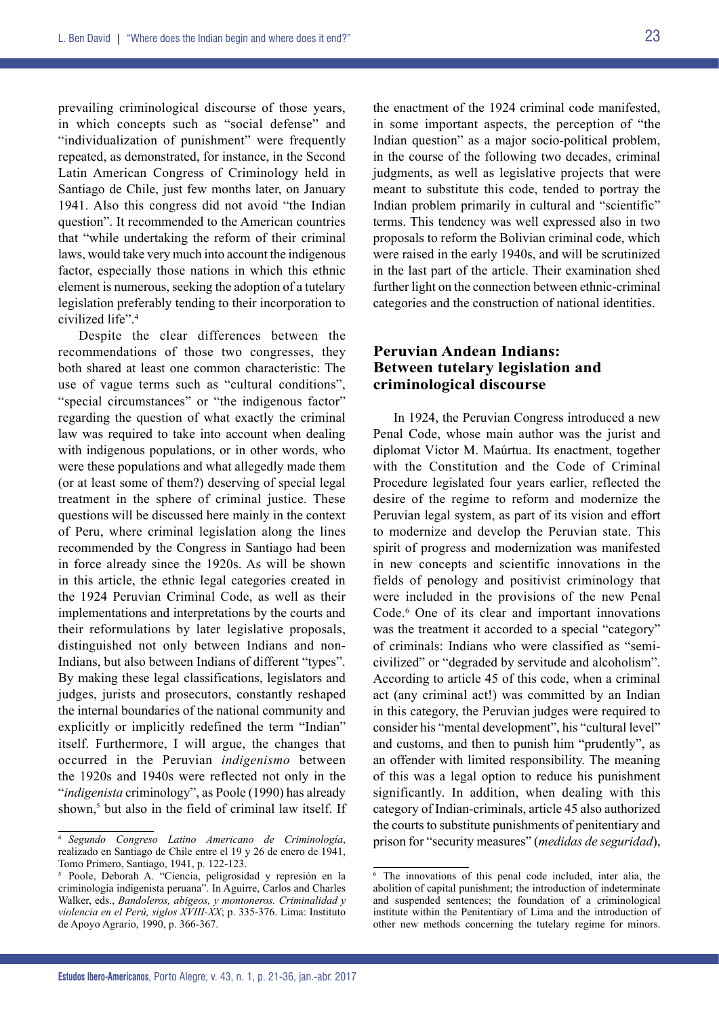23

prevailing criminological discourse of those years, in which concepts such as "social defense" and "individualization of punishment" were frequently repeated, as demonstrated, for instance, in the Second Latin American Congress of Criminology held in Santiago de Chile, just few months later, on January 1941. Also this congress did not avoid "the Indian question". It recommended to the American countries that "while undertaking the reform of their criminal laws, would take very much into account the indigenous factor, especially those nations in which this ethnic element is numerous, seeking the adoption of a tutelary legislation preferably tending to their incorporation to civilized life".4

Despite the clear differences between the recommendations of those two congresses, they both shared at least one common characteristic: The use of vague terms such as "cultural conditions", "special circumstances" or "the indigenous factor" regarding the question of what exactly the criminal law was required to take into account when dealing with indigenous populations, or in other words, who were these populations and what allegedly made them (or at least some of them?) deserving of special legal treatment in the sphere of criminal justice. These questions will be discussed here mainly in the context of Peru, where criminal legislation along the lines recommended by the Congress in Santiago had been in force already since the 1920s. As will be shown in this article, the ethnic legal categories created in the 1924 Peruvian Criminal Code, as well as their implementations and interpretations by the courts and their reformulations by later legislative proposals, distinguished not only between Indians and non-Indians, but also between Indians of different "types". By making these legal classifications, legislators and judges, jurists and prosecutors, constantly reshaped the internal boundaries of the national community and explicitly or implicitly redefined the term "Indian" itself. Furthermore, I will argue, the changes that occurred in the Peruvian *indigenismo* between the 1920s and 1940s were reflected not only in the "*indigenista* criminology", as Poole (1990) has already shown,<sup>5</sup> but also in the field of criminal law itself. If

the enactment of the 1924 criminal code manifested, in some important aspects, the perception of "the Indian question" as a major socio-political problem, in the course of the following two decades, criminal judgments, as well as legislative projects that were meant to substitute this code, tended to portray the Indian problem primarily in cultural and "scientific" terms. This tendency was well expressed also in two proposals to reform the Bolivian criminal code, which were raised in the early 1940s, and will be scrutinized in the last part of the article. Their examination shed further light on the connection between ethnic-criminal categories and the construction of national identities.

### **Peruvian Andean Indians: Between tutelary legislation and criminological discourse**

In 1924, the Peruvian Congress introduced a new Penal Code, whose main author was the jurist and diplomat Víctor M. Maúrtua. Its enactment, together with the Constitution and the Code of Criminal Procedure legislated four years earlier, reflected the desire of the regime to reform and modernize the Peruvian legal system, as part of its vision and effort to modernize and develop the Peruvian state. This spirit of progress and modernization was manifested in new concepts and scientific innovations in the fields of penology and positivist criminology that were included in the provisions of the new Penal Code.<sup>6</sup> One of its clear and important innovations was the treatment it accorded to a special "category" of criminals: Indians who were classified as "semicivilized" or "degraded by servitude and alcoholism". According to article 45 of this code, when a criminal act (any criminal act!) was committed by an Indian in this category, the Peruvian judges were required to consider his "mental development", his "cultural level" and customs, and then to punish him "prudently", as an offender with limited responsibility. The meaning of this was a legal option to reduce his punishment significantly. In addition, when dealing with this category of Indian-criminals, article 45 also authorized the courts to substitute punishments of penitentiary and prison for "security measures" (*medidas de seguridad*),

<sup>4</sup> *Segundo Congreso Latino Americano de Criminología*, realizado en Santiago de Chile entre el 19 y 26 de enero de 1941, Tomo Primero, Santiago, 1941, p. 122-123.

<sup>5</sup> Poole, Deborah A. "Ciencia, peligrosidad y represión en la criminología indigenista peruana". In Aguirre, Carlos and Charles Walker, eds., *Bandoleros, abigeos, y montoneros. Criminalidad y violencia en el Perú, siglos XVIII-XX*; p. 335-376. Lima: Instituto de Apoyo Agrario, 1990, p. 366-367.

<sup>6</sup> The innovations of this penal code included, inter alia, the abolition of capital punishment; the introduction of indeterminate and suspended sentences; the foundation of a criminological institute within the Penitentiary of Lima and the introduction of other new methods concerning the tutelary regime for minors.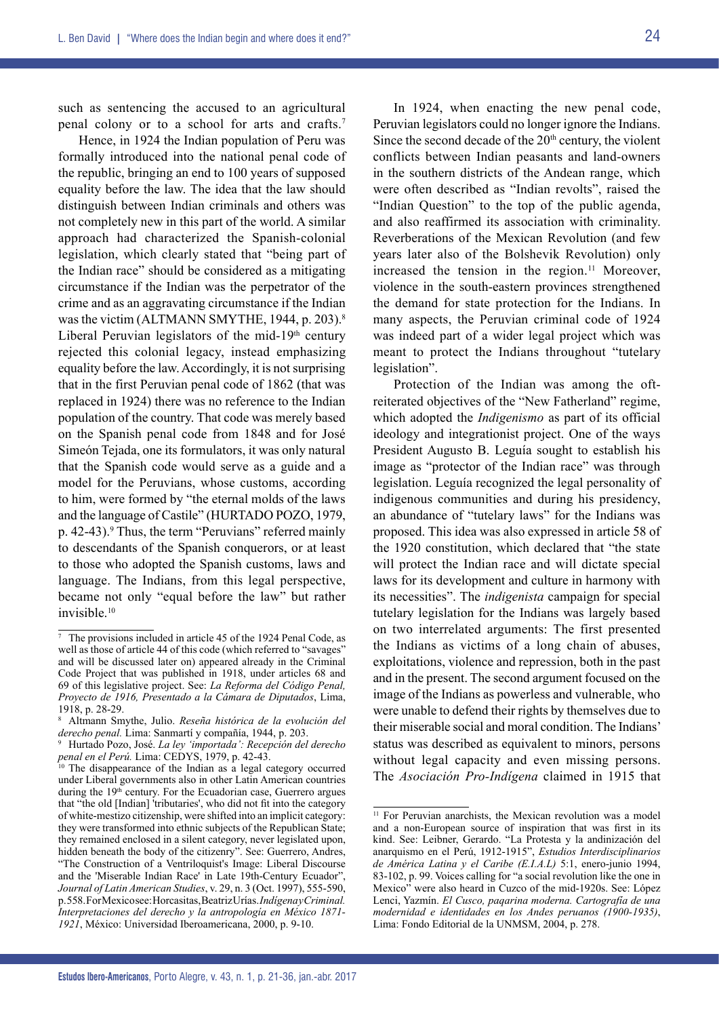such as sentencing the accused to an agricultural penal colony or to a school for arts and crafts.7

Hence, in 1924 the Indian population of Peru was formally introduced into the national penal code of the republic, bringing an end to 100 years of supposed equality before the law. The idea that the law should distinguish between Indian criminals and others was not completely new in this part of the world. A similar approach had characterized the Spanish-colonial legislation, which clearly stated that "being part of the Indian race" should be considered as a mitigating circumstance if the Indian was the perpetrator of the crime and as an aggravating circumstance if the Indian was the victim (ALTMANN SMYTHE, 1944, p. 203).<sup>8</sup> Liberal Peruvian legislators of the mid-19<sup>th</sup> century rejected this colonial legacy, instead emphasizing equality before the law. Accordingly, it is not surprising that in the first Peruvian penal code of 1862 (that was replaced in 1924) there was no reference to the Indian population of the country. That code was merely based on the Spanish penal code from 1848 and for José Simeón Tejada, one its formulators, it was only natural that the Spanish code would serve as a guide and a model for the Peruvians, whose customs, according to him, were formed by "the eternal molds of the laws and the language of Castile" (HURTADO POZO, 1979, p. 42-43).<sup>9</sup> Thus, the term "Peruvians" referred mainly to descendants of the Spanish conquerors, or at least to those who adopted the Spanish customs, laws and language. The Indians, from this legal perspective, became not only "equal before the law" but rather invisible.10

In 1924, when enacting the new penal code, Peruvian legislators could no longer ignore the Indians. Since the second decade of the  $20<sup>th</sup>$  century, the violent conflicts between Indian peasants and land-owners in the southern districts of the Andean range, which were often described as "Indian revolts", raised the "Indian Question" to the top of the public agenda, and also reaffirmed its association with criminality. Reverberations of the Mexican Revolution (and few years later also of the Bolshevik Revolution) only increased the tension in the region.<sup>11</sup> Moreover, violence in the south-eastern provinces strengthened the demand for state protection for the Indians. In many aspects, the Peruvian criminal code of 1924 was indeed part of a wider legal project which was meant to protect the Indians throughout "tutelary legislation".

Protection of the Indian was among the oftreiterated objectives of the "New Fatherland" regime, which adopted the *Indigenismo* as part of its official ideology and integrationist project. One of the ways President Augusto B. Leguía sought to establish his image as "protector of the Indian race" was through legislation. Leguía recognized the legal personality of indigenous communities and during his presidency, an abundance of "tutelary laws" for the Indians was proposed. This idea was also expressed in article 58 of the 1920 constitution, which declared that "the state will protect the Indian race and will dictate special laws for its development and culture in harmony with its necessities". The *indigenista* campaign for special tutelary legislation for the Indians was largely based on two interrelated arguments: The first presented the Indians as victims of a long chain of abuses, exploitations, violence and repression, both in the past and in the present. The second argument focused on the image of the Indians as powerless and vulnerable, who were unable to defend their rights by themselves due to their miserable social and moral condition. The Indians' status was described as equivalent to minors, persons without legal capacity and even missing persons. The *Asociación Pro-Indígena* claimed in 1915 that

<sup>7</sup> The provisions included in article 45 of the 1924 Penal Code, as well as those of article 44 of this code (which referred to "savages" and will be discussed later on) appeared already in the Criminal Code Project that was published in 1918, under articles 68 and 69 of this legislative project. See: *La Reforma del Código Penal, Proyecto de 1916, Presentado a la Cámara de Diputados*, Lima, 1918, p. 28-29.

<sup>8</sup> Altmann Smythe, Julio. *Reseña histórica de la evolución del derecho penal.* Lima: Sanmartí y compañía, 1944, p. 203.

<sup>9</sup> Hurtado Pozo, José. *La ley 'importada': Recepción del derecho penal en el Perú.* Lima: CEDYS, 1979, p. 42-43.

<sup>&</sup>lt;sup>10</sup> The disappearance of the Indian as a legal category occurred under Liberal governments also in other Latin American countries during the 19<sup>th</sup> century. For the Ecuadorian case, Guerrero argues that "the old [Indian] 'tributaries', who did not fit into the category of white-mestizo citizenship, were shifted into an implicit category: they were transformed into ethnic subjects of the Republican State; they remained enclosed in a silent category, never legislated upon, hidden beneath the body of the citizenry". See: Guerrero, Andres, "The Construction of a Ventriloquist's Image: Liberal Discourse and the 'Miserable Indian Race' in Late 19th-Century Ecuador", *Journal of Latin American Studies*, v. 29, n. 3 (Oct. 1997), 555-590, p. 558. For Mexico see: Horcasitas, Beatriz Urías. *Indígena y Criminal. Interpretaciones del derecho y la antropología en México 1871- 1921*, México: Universidad Iberoamericana, 2000, p. 9-10.

<sup>&</sup>lt;sup>11</sup> For Peruvian anarchists, the Mexican revolution was a model and a non-European source of inspiration that was first in its kind. See: Leibner, Gerardo. "La Protesta y la andinización del anarquismo en el Perú, 1912-1915", *Estudios Interdisciplinarios de América Latina y el Caribe (E.I.A.L)* 5:1, enero-junio 1994, 83-102, p. 99. Voices calling for "a social revolution like the one in Mexico" were also heard in Cuzco of the mid-1920s. See: López Lenci, Yazmín. *El Cusco, paqarina moderna. Cartografía de una modernidad e identidades en los Andes peruanos (1900-1935)*, Lima: Fondo Editorial de la UNMSM, 2004, p. 278.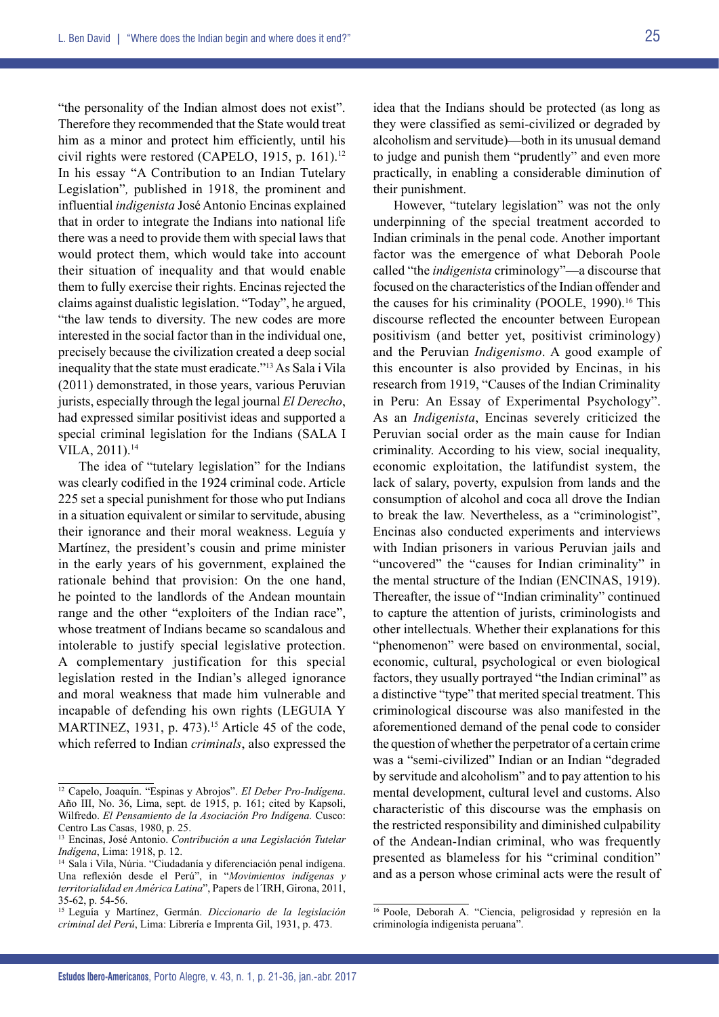"the personality of the Indian almost does not exist". Therefore they recommended that the State would treat him as a minor and protect him efficiently, until his civil rights were restored (CAPELO, 1915, p. 161).<sup>12</sup> In his essay "A Contribution to an Indian Tutelary Legislation"*,* published in 1918, the prominent and influential *indigenista* José Antonio Encinas explained that in order to integrate the Indians into national life there was a need to provide them with special laws that would protect them, which would take into account their situation of inequality and that would enable them to fully exercise their rights. Encinas rejected the claims against dualistic legislation. "Today", he argued, "the law tends to diversity. The new codes are more interested in the social factor than in the individual one, precisely because the civilization created a deep social inequality that the state must eradicate."13 As Sala i Vila (2011) demonstrated, in those years, various Peruvian jurists, especially through the legal journal *El Derecho*, had expressed similar positivist ideas and supported a special criminal legislation for the Indians (SALA I VILA, 2011).14

The idea of "tutelary legislation" for the Indians was clearly codified in the 1924 criminal code. Article 225 set a special punishment for those who put Indians in a situation equivalent or similar to servitude, abusing their ignorance and their moral weakness. Leguía y Martínez, the president's cousin and prime minister in the early years of his government, explained the rationale behind that provision: On the one hand, he pointed to the landlords of the Andean mountain range and the other "exploiters of the Indian race", whose treatment of Indians became so scandalous and intolerable to justify special legislative protection. A complementary justification for this special legislation rested in the Indian's alleged ignorance and moral weakness that made him vulnerable and incapable of defending his own rights (LEGUIA Y MARTINEZ, 1931, p. 473).<sup>15</sup> Article 45 of the code, which referred to Indian *criminals*, also expressed the

idea that the Indians should be protected (as long as they were classified as semi-civilized or degraded by alcoholism and servitude)—both in its unusual demand to judge and punish them "prudently" and even more practically, in enabling a considerable diminution of their punishment.

However, "tutelary legislation" was not the only underpinning of the special treatment accorded to Indian criminals in the penal code. Another important factor was the emergence of what Deborah Poole called "the *indigenista* criminology"—a discourse that focused on the characteristics of the Indian offender and the causes for his criminality (POOLE, 1990).<sup>16</sup> This discourse reflected the encounter between European positivism (and better yet, positivist criminology) and the Peruvian *Indigenismo*. A good example of this encounter is also provided by Encinas, in his research from 1919, "Causes of the Indian Criminality in Peru: An Essay of Experimental Psychology". As an *Indigenista*, Encinas severely criticized the Peruvian social order as the main cause for Indian criminality. According to his view, social inequality, economic exploitation, the latifundist system, the lack of salary, poverty, expulsion from lands and the consumption of alcohol and coca all drove the Indian to break the law. Nevertheless, as a "criminologist", Encinas also conducted experiments and interviews with Indian prisoners in various Peruvian jails and "uncovered" the "causes for Indian criminality" in the mental structure of the Indian (ENCINAS, 1919). Thereafter, the issue of "Indian criminality" continued to capture the attention of jurists, criminologists and other intellectuals. Whether their explanations for this "phenomenon" were based on environmental, social, economic, cultural, psychological or even biological factors, they usually portrayed "the Indian criminal" as a distinctive "type" that merited special treatment. This criminological discourse was also manifested in the aforementioned demand of the penal code to consider the question of whether the perpetrator of a certain crime was a "semi-civilized" Indian or an Indian "degraded by servitude and alcoholism" and to pay attention to his mental development, cultural level and customs. Also characteristic of this discourse was the emphasis on the restricted responsibility and diminished culpability of the Andean-Indian criminal, who was frequently presented as blameless for his "criminal condition" and as a person whose criminal acts were the result of

<sup>12</sup> Capelo, Joaquín. "Espinas y Abrojos". *El Deber Pro-Indígena*. Año III, No. 36, Lima, sept. de 1915, p. 161; cited by Kapsoli, Wilfredo. *El Pensamiento de la Asociación Pro Indígena.* Cusco: Centro Las Casas, 1980, p. 25.

<sup>13</sup> Encinas, José Antonio. *Contribución a una Legislación Tutelar Indígena*, Lima: 1918, p. 12.

<sup>14</sup> Sala i Vila, Núria. "Ciudadanía y diferenciación penal indígena. Una reflexión desde el Perú", in "*Movimientos indígenas y territorialidad en América Latina*", Papers de l´IRH, Girona, 2011, 35-62, p. 54-56.

<sup>15</sup> Leguía y Martínez, Germán. *Diccionario de la legislación criminal del Perú*, Lima: Librería e Imprenta Gil, 1931, p. 473.

<sup>16</sup> Poole, Deborah A. "Ciencia, peligrosidad y represión en la criminología indigenista peruana".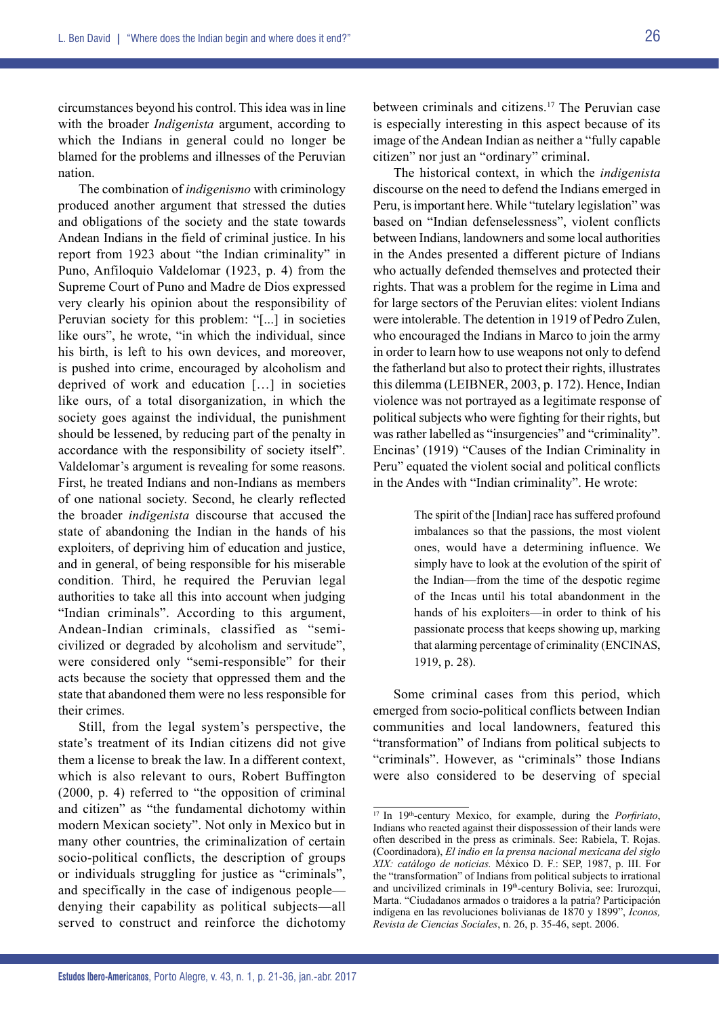circumstances beyond his control. This idea was in line with the broader *Indigenista* argument, according to which the Indians in general could no longer be blamed for the problems and illnesses of the Peruvian nation.

The combination of *indigenismo* with criminology produced another argument that stressed the duties and obligations of the society and the state towards Andean Indians in the field of criminal justice. In his report from 1923 about "the Indian criminality" in Puno, Anfiloquio Valdelomar (1923, p. 4) from the Supreme Court of Puno and Madre de Dios expressed very clearly his opinion about the responsibility of Peruvian society for this problem: "[...] in societies like ours", he wrote, "in which the individual, since his birth, is left to his own devices, and moreover, is pushed into crime, encouraged by alcoholism and deprived of work and education […] in societies like ours, of a total disorganization, in which the society goes against the individual, the punishment should be lessened, by reducing part of the penalty in accordance with the responsibility of society itself". Valdelomar's argument is revealing for some reasons. First, he treated Indians and non-Indians as members of one national society. Second, he clearly reflected the broader *indigenista* discourse that accused the state of abandoning the Indian in the hands of his exploiters, of depriving him of education and justice, and in general, of being responsible for his miserable condition. Third, he required the Peruvian legal authorities to take all this into account when judging "Indian criminals". According to this argument, Andean-Indian criminals, classified as "semicivilized or degraded by alcoholism and servitude", were considered only "semi-responsible" for their acts because the society that oppressed them and the state that abandoned them were no less responsible for their crimes.

Still, from the legal system's perspective, the state's treatment of its Indian citizens did not give them a license to break the law. In a different context, which is also relevant to ours, Robert Buffington (2000, p. 4) referred to "the opposition of criminal and citizen" as "the fundamental dichotomy within modern Mexican society". Not only in Mexico but in many other countries, the criminalization of certain socio-political conflicts, the description of groups or individuals struggling for justice as "criminals", and specifically in the case of indigenous people denying their capability as political subjects—all served to construct and reinforce the dichotomy between criminals and citizens.17 The Peruvian case is especially interesting in this aspect because of its image of the Andean Indian as neither a "fully capable citizen" nor just an "ordinary" criminal.

The historical context, in which the *indigenista* discourse on the need to defend the Indians emerged in Peru, is important here. While "tutelary legislation" was based on "Indian defenselessness", violent conflicts between Indians, landowners and some local authorities in the Andes presented a different picture of Indians who actually defended themselves and protected their rights. That was a problem for the regime in Lima and for large sectors of the Peruvian elites: violent Indians were intolerable. The detention in 1919 of Pedro Zulen, who encouraged the Indians in Marco to join the army in order to learn how to use weapons not only to defend the fatherland but also to protect their rights, illustrates this dilemma (LEIBNER, 2003, p. 172). Hence, Indian violence was not portrayed as a legitimate response of political subjects who were fighting for their rights, but was rather labelled as "insurgencies" and "criminality". Encinas' (1919) "Causes of the Indian Criminality in Peru" equated the violent social and political conflicts in the Andes with "Indian criminality". He wrote:

> The spirit of the [Indian] race has suffered profound imbalances so that the passions, the most violent ones, would have a determining influence. We simply have to look at the evolution of the spirit of the Indian—from the time of the despotic regime of the Incas until his total abandonment in the hands of his exploiters—in order to think of his passionate process that keeps showing up, marking that alarming percentage of criminality (ENCINAS, 1919, p. 28).

Some criminal cases from this period, which emerged from socio-political conflicts between Indian communities and local landowners, featured this "transformation" of Indians from political subjects to "criminals". However, as "criminals" those Indians were also considered to be deserving of special

<sup>&</sup>lt;sup>17</sup> In 19<sup>th</sup>-century Mexico, for example, during the *Porfiriato*, Indians who reacted against their dispossession of their lands were often described in the press as criminals. See: Rabiela, T. Rojas. (Coordinadora), *El indio en la prensa nacional mexicana del siglo XIX: catálogo de noticias.* México D. F.: SEP, 1987, p. III. For the "transformation" of Indians from political subjects to irrational and uncivilized criminals in 19th-century Bolivia, see: Irurozqui, Marta. "Ciudadanos armados o traidores a la patria? Participación indígena en las revoluciones bolivianas de 1870 y 1899", *Iconos, Revista de Ciencias Sociales*, n. 26, p. 35-46, sept. 2006.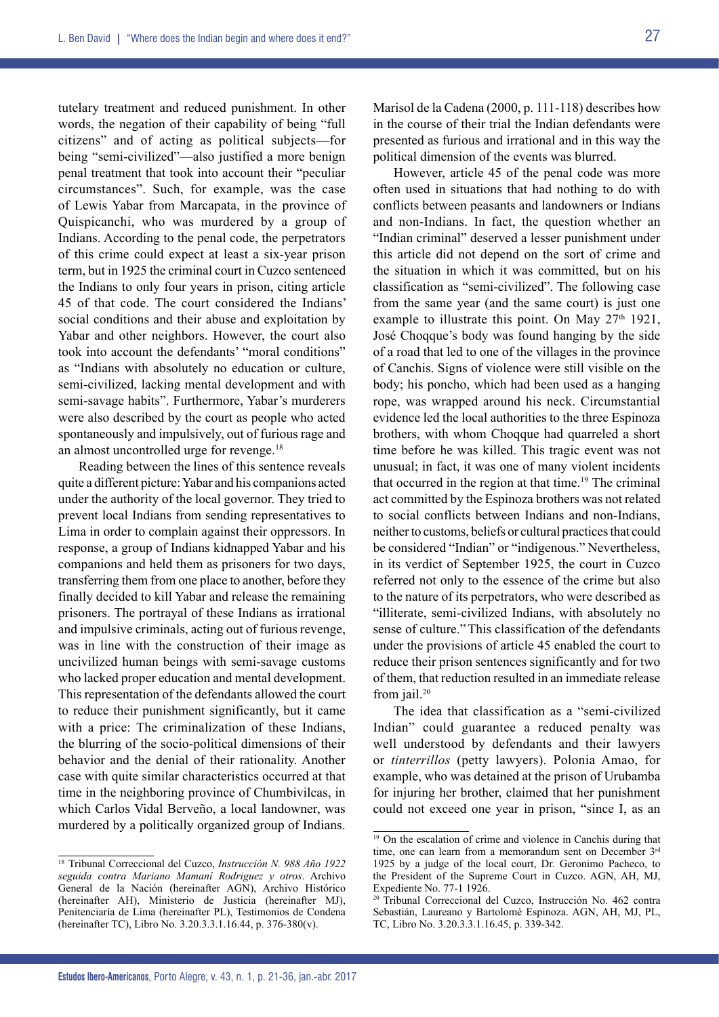tutelary treatment and reduced punishment. In other words, the negation of their capability of being "full citizens" and of acting as political subjects—for being "semi-civilized"—also justified a more benign penal treatment that took into account their "peculiar circumstances". Such, for example, was the case of Lewis Yabar from Marcapata, in the province of Quispicanchi, who was murdered by a group of Indians. According to the penal code, the perpetrators of this crime could expect at least a six-year prison term, but in 1925 the criminal court in Cuzco sentenced the Indians to only four years in prison, citing article 45 of that code. The court considered the Indians' social conditions and their abuse and exploitation by Yabar and other neighbors. However, the court also took into account the defendants' "moral conditions" as "Indians with absolutely no education or culture, semi-civilized, lacking mental development and with semi-savage habits". Furthermore, Yabar's murderers were also described by the court as people who acted spontaneously and impulsively, out of furious rage and an almost uncontrolled urge for revenge.18

Reading between the lines of this sentence reveals quite a different picture: Yabar and his companions acted under the authority of the local governor. They tried to prevent local Indians from sending representatives to Lima in order to complain against their oppressors. In response, a group of Indians kidnapped Yabar and his companions and held them as prisoners for two days, transferring them from one place to another, before they finally decided to kill Yabar and release the remaining prisoners. The portrayal of these Indians as irrational and impulsive criminals, acting out of furious revenge, was in line with the construction of their image as uncivilized human beings with semi-savage customs who lacked proper education and mental development. This representation of the defendants allowed the court to reduce their punishment significantly, but it came with a price: The criminalization of these Indians, the blurring of the socio-political dimensions of their behavior and the denial of their rationality. Another case with quite similar characteristics occurred at that time in the neighboring province of Chumbivilcas, in which Carlos Vidal Berveño, a local landowner, was murdered by a politically organized group of Indians.

<sup>18</sup> Tribunal Correccional del Cuzco, *Instrucción N. 988 Año 1922 seguida contra Mariano Mamaní Rodriguez y otros*. Archivo General de la Nación (hereinafter AGN), Archivo Histórico (hereinafter AH), Ministerio de Justicia (hereinafter MJ), Penitenciaría de Lima (hereinafter PL), Testimonios de Condena (hereinafter TC), Libro No. 3.20.3.3.1.16.44, p. 376-380(v).

Marisol de la Cadena (2000, p. 111-118) describes how in the course of their trial the Indian defendants were presented as furious and irrational and in this way the political dimension of the events was blurred.

However, article 45 of the penal code was more often used in situations that had nothing to do with conflicts between peasants and landowners or Indians and non-Indians. In fact, the question whether an "Indian criminal" deserved a lesser punishment under this article did not depend on the sort of crime and the situation in which it was committed, but on his classification as "semi-civilized". The following case from the same year (and the same court) is just one example to illustrate this point. On May  $27<sup>th</sup> 1921$ , José Choqque's body was found hanging by the side of a road that led to one of the villages in the province of Canchis. Signs of violence were still visible on the body; his poncho, which had been used as a hanging rope, was wrapped around his neck. Circumstantial evidence led the local authorities to the three Espinoza brothers, with whom Choqque had quarreled a short time before he was killed. This tragic event was not unusual; in fact, it was one of many violent incidents that occurred in the region at that time.19 The criminal act committed by the Espinoza brothers was not related to social conflicts between Indians and non-Indians, neither to customs, beliefs or cultural practices that could be considered "Indian" or "indigenous." Nevertheless, in its verdict of September 1925, the court in Cuzco referred not only to the essence of the crime but also to the nature of its perpetrators, who were described as "illiterate, semi-civilized Indians, with absolutely no sense of culture."This classification of the defendants under the provisions of article 45 enabled the court to reduce their prison sentences significantly and for two of them, that reduction resulted in an immediate release from  $i$ ail.<sup>20</sup>

The idea that classification as a "semi-civilized Indian" could guarantee a reduced penalty was well understood by defendants and their lawyers or *tinterrillos* (petty lawyers). Polonia Amao, for example, who was detained at the prison of Urubamba for injuring her brother, claimed that her punishment could not exceed one year in prison, "since I, as an

 $19$  On the escalation of crime and violence in Canchis during that time, one can learn from a memorandum sent on December 3rd 1925 by a judge of the local court, Dr. Geronimo Pacheco, to the President of the Supreme Court in Cuzco. AGN, AH, MJ, Expediente No. 77-1 1926.

<sup>&</sup>lt;sup>20</sup> Tribunal Correccional del Cuzco, Instrucción No. 462 contra Sebastián, Laureano y Bartolomé Espinoza. AGN, AH, MJ, PL, TC, Libro No. 3.20.3.3.1.16.45, p. 339-342.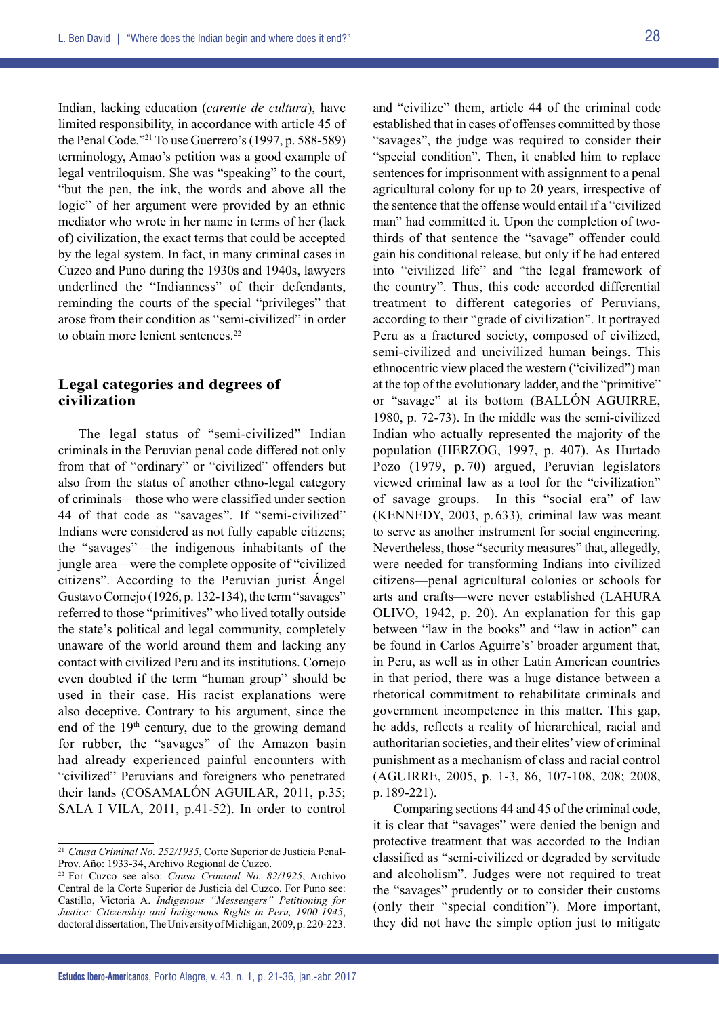Indian, lacking education (*carente de cultura*), have limited responsibility, in accordance with article 45 of the Penal Code."21 To use Guerrero's (1997, p. 588-589) terminology, Amao's petition was a good example of legal ventriloquism. She was "speaking" to the court, "but the pen, the ink, the words and above all the logic" of her argument were provided by an ethnic mediator who wrote in her name in terms of her (lack of) civilization, the exact terms that could be accepted by the legal system. In fact, in many criminal cases in Cuzco and Puno during the 1930s and 1940s, lawyers underlined the "Indianness" of their defendants, reminding the courts of the special "privileges" that arose from their condition as "semi-civilized" in order to obtain more lenient sentences.<sup>22</sup>

# **Legal categories and degrees of civilization**

The legal status of "semi-civilized" Indian criminals in the Peruvian penal code differed not only from that of "ordinary" or "civilized" offenders but also from the status of another ethno-legal category of criminals—those who were classified under section 44 of that code as "savages". If "semi-civilized" Indians were considered as not fully capable citizens; the "savages"—the indigenous inhabitants of the jungle area—were the complete opposite of "civilized citizens". According to the Peruvian jurist Ángel Gustavo Cornejo (1926, p. 132-134), the term "savages" referred to those "primitives" who lived totally outside the state's political and legal community, completely unaware of the world around them and lacking any contact with civilized Peru and its institutions. Cornejo even doubted if the term "human group" should be used in their case. His racist explanations were also deceptive. Contrary to his argument, since the end of the  $19<sup>th</sup>$  century, due to the growing demand for rubber, the "savages" of the Amazon basin had already experienced painful encounters with "civilized" Peruvians and foreigners who penetrated their lands (COSAMALÓN AGUILAR, 2011, p.35; SALA I VILA, 2011, p.41-52). In order to control

and "civilize" them, article 44 of the criminal code established that in cases of offenses committed by those "savages", the judge was required to consider their "special condition". Then, it enabled him to replace sentences for imprisonment with assignment to a penal agricultural colony for up to 20 years, irrespective of the sentence that the offense would entail if a "civilized man" had committed it. Upon the completion of twothirds of that sentence the "savage" offender could gain his conditional release, but only if he had entered into "civilized life" and "the legal framework of the country". Thus, this code accorded differential treatment to different categories of Peruvians, according to their "grade of civilization". It portrayed Peru as a fractured society, composed of civilized, semi-civilized and uncivilized human beings. This ethnocentric view placed the western ("civilized") man at the top of the evolutionary ladder, and the "primitive" or "savage" at its bottom (BALLÓN AGUIRRE, 1980, p. 72-73). In the middle was the semi-civilized Indian who actually represented the majority of the population (HERZOG, 1997, p. 407). As Hurtado Pozo (1979, p. 70) argued, Peruvian legislators viewed criminal law as a tool for the "civilization" of savage groups. In this "social era" of law (KENNEDY, 2003, p. 633), criminal law was meant to serve as another instrument for social engineering. Nevertheless, those "security measures" that, allegedly, were needed for transforming Indians into civilized citizens—penal agricultural colonies or schools for arts and crafts—were never established (LAHURA OLIVO, 1942, p. 20). An explanation for this gap between "law in the books" and "law in action" can be found in Carlos Aguirre's' broader argument that, in Peru, as well as in other Latin American countries in that period, there was a huge distance between a rhetorical commitment to rehabilitate criminals and government incompetence in this matter. This gap, he adds, reflects a reality of hierarchical, racial and authoritarian societies, and their elites' view of criminal punishment as a mechanism of class and racial control (AGUIRRE, 2005, p. 1-3, 86, 107-108, 208; 2008, p. 189-221).

Comparing sections 44 and 45 of the criminal code, it is clear that "savages" were denied the benign and protective treatment that was accorded to the Indian classified as "semi-civilized or degraded by servitude and alcoholism". Judges were not required to treat the "savages" prudently or to consider their customs (only their "special condition"). More important, they did not have the simple option just to mitigate

<sup>21</sup> *Causa Criminal No. 252/1935*, Corte Superior de Justicia Penal-Prov. Año: 1933-34, Archivo Regional de Cuzco.

<sup>22</sup> For Cuzco see also: *Causa Criminal No. 82/1925*, Archivo Central de la Corte Superior de Justicia del Cuzco. For Puno see: Castillo, Victoria A. *Indigenous "Messengers" Petitioning for Justice: Citizenship and Indigenous Rights in Peru, 1900-1945*, doctoral dissertation, The University of Michigan, 2009, p. 220-223.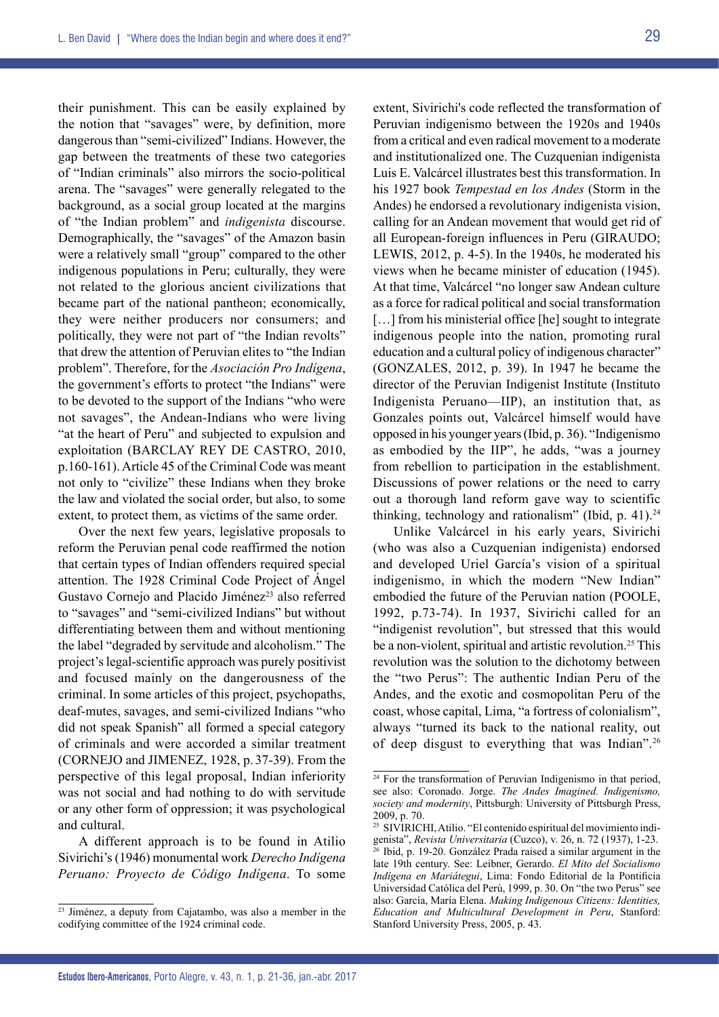29

their punishment. This can be easily explained by the notion that "savages" were, by definition, more dangerous than "semi-civilized" Indians. However, the gap between the treatments of these two categories of "Indian criminals" also mirrors the socio-political arena. The "savages" were generally relegated to the background, as a social group located at the margins of "the Indian problem" and *indigenista* discourse. Demographically, the "savages" of the Amazon basin were a relatively small "group" compared to the other indigenous populations in Peru; culturally, they were not related to the glorious ancient civilizations that became part of the national pantheon; economically, they were neither producers nor consumers; and politically, they were not part of "the Indian revolts" that drew the attention of Peruvian elites to "the Indian problem". Therefore, for the *Asociación Pro Indígena*, the government's efforts to protect "the Indians" were to be devoted to the support of the Indians "who were not savages", the Andean-Indians who were living "at the heart of Peru" and subjected to expulsion and exploitation (BARCLAY REY DE CASTRO, 2010, p.160-161). Article 45 of the Criminal Code was meant not only to "civilize" these Indians when they broke the law and violated the social order, but also, to some extent, to protect them, as victims of the same order.

Over the next few years, legislative proposals to reform the Peruvian penal code reaffirmed the notion that certain types of Indian offenders required special attention. The 1928 Criminal Code Project of Ángel Gustavo Cornejo and Placido Jiménez<sup>23</sup> also referred to "savages" and "semi-civilized Indians" but without differentiating between them and without mentioning the label "degraded by servitude and alcoholism." The project's legal-scientific approach was purely positivist and focused mainly on the dangerousness of the criminal. In some articles of this project, psychopaths, deaf-mutes, savages, and semi-civilized Indians "who did not speak Spanish" all formed a special category of criminals and were accorded a similar treatment (CORNEJO and JIMENEZ, 1928, p. 37-39). From the perspective of this legal proposal, Indian inferiority was not social and had nothing to do with servitude or any other form of oppression; it was psychological and cultural.

A different approach is to be found in Atilio Sivirichi's (1946) monumental work *Derecho Indígena Peruano: Proyecto de Código Indígena*. To some

extent, Sivirichi's code reflected the transformation of Peruvian indigenismo between the 1920s and 1940s from a critical and even radical movement to a moderate and institutionalized one. The Cuzquenian indigenista Luis E. Valcárcel illustrates best this transformation. In his 1927 book *Tempestad en los Andes* (Storm in the Andes) he endorsed a revolutionary indigenista vision, calling for an Andean movement that would get rid of all European-foreign influences in Peru (GIRAUDO; LEWIS,  $2012$ , p. 4-5). In the 1940s, he moderated his views when he became minister of education (1945). At that time, Valcárcel "no longer saw Andean culture as a force for radical political and social transformation [...] from his ministerial office [he] sought to integrate indigenous people into the nation, promoting rural education and a cultural policy of indigenous character" (GONZALES, 2012, p. 39). In 1947 he became the director of the Peruvian Indigenist Institute (Instituto Indigenista Peruano—IIP), an institution that, as Gonzales points out, Valcárcel himself would have opposed in his younger years (Ibid, p. 36). "Indigenismo as embodied by the IIP", he adds, "was a journey from rebellion to participation in the establishment. Discussions of power relations or the need to carry out a thorough land reform gave way to scientific thinking, technology and rationalism" (Ibid, p. 41).<sup>24</sup>

Unlike Valcárcel in his early years, Sivirichi (who was also a Cuzquenian indigenista) endorsed and developed Uriel García's vision of a spiritual indigenismo, in which the modern "New Indian" embodied the future of the Peruvian nation (POOLE, 1992, p.73-74). In 1937, Sivirichi called for an "indigenist revolution", but stressed that this would be a non-violent, spiritual and artistic revolution.<sup>25</sup> This revolution was the solution to the dichotomy between the "two Perus": The authentic Indian Peru of the Andes, and the exotic and cosmopolitan Peru of the coast, whose capital, Lima, "a fortress of colonialism", always "turned its back to the national reality, out of deep disgust to everything that was Indian".26

 $\frac{23 \text{ Jiménez}}{23 \text{ Jiménez}}$ , a deputy from Cajatambo, was also a member in the codifying committee of the 1924 criminal code.

<sup>&</sup>lt;sup>24</sup> For the transformation of Peruvian Indigenismo in that period, see also: Coronado. Jorge. *The Andes Imagined. Indigenismo, society and modernity*, Pittsburgh: University of Pittsburgh Press, 2009, p. 70.

<sup>&</sup>lt;sup>25</sup> SIVIRICHI, Atilio. "El contenido espiritual del movimiento indigenista", *Revista Universitaria* (Cuzco), v. 26, n. 72 (1937), 1-23.  $26$  Ibid, p. 19-20. González Prada raised a similar argument in the late 19th century. See: Leibner, Gerardo. *El Mito del Socialismo Indígena en Mariátegui*, Lima: Fondo Editorial de la Pontificia Universidad Católica del Perú, 1999, p. 30. On "the two Perus" see also: García, María Elena. *Making Indigenous Citizens: Identities, Education and Multicultural Development in Peru*, Stanford: Stanford University Press, 2005, p. 43.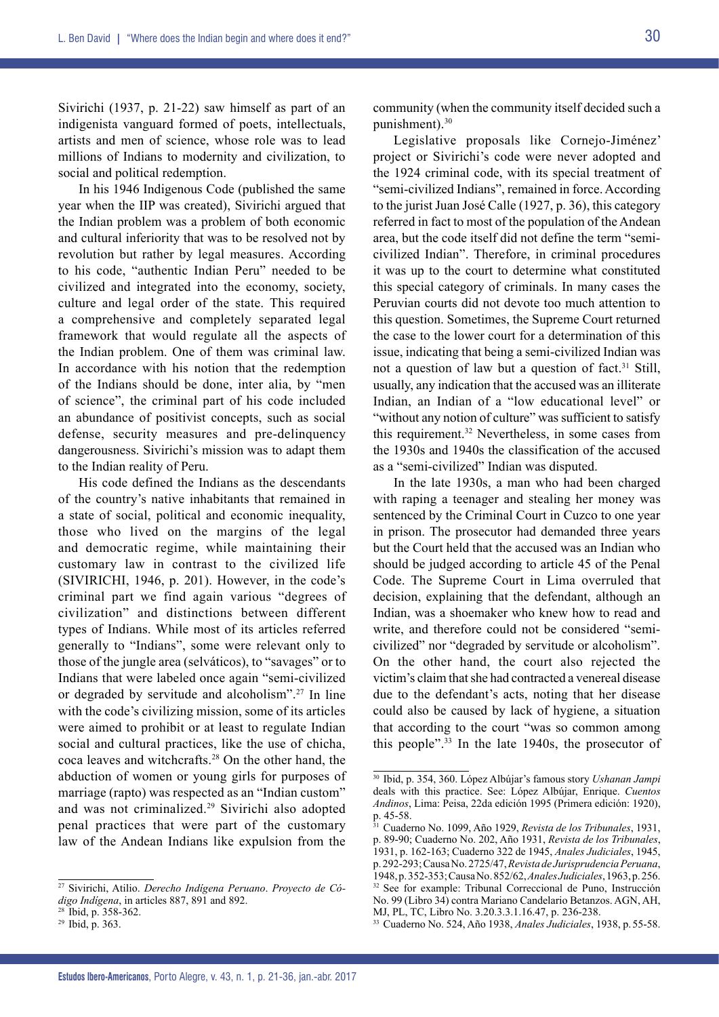Sivirichi (1937, p. 21-22) saw himself as part of an indigenista vanguard formed of poets, intellectuals, artists and men of science, whose role was to lead millions of Indians to modernity and civilization, to social and political redemption.

In his 1946 Indigenous Code (published the same year when the IIP was created), Sivirichi argued that the Indian problem was a problem of both economic and cultural inferiority that was to be resolved not by revolution but rather by legal measures. According to his code, "authentic Indian Peru" needed to be civilized and integrated into the economy, society, culture and legal order of the state. This required a comprehensive and completely separated legal framework that would regulate all the aspects of the Indian problem. One of them was criminal law. In accordance with his notion that the redemption of the Indians should be done, inter alia, by "men of science", the criminal part of his code included an abundance of positivist concepts, such as social defense, security measures and pre-delinquency dangerousness. Sivirichi's mission was to adapt them to the Indian reality of Peru.

His code defined the Indians as the descendants of the country's native inhabitants that remained in a state of social, political and economic inequality, those who lived on the margins of the legal and democratic regime, while maintaining their customary law in contrast to the civilized life (SIVIRICHI, 1946, p. 201). However, in the code's criminal part we find again various "degrees of civilization" and distinctions between different types of Indians. While most of its articles referred generally to "Indians", some were relevant only to those of the jungle area (selváticos), to "savages" or to Indians that were labeled once again "semi-civilized or degraded by servitude and alcoholism".27 In line with the code's civilizing mission, some of its articles were aimed to prohibit or at least to regulate Indian social and cultural practices, like the use of chicha, coca leaves and witchcrafts.28 On the other hand, the abduction of women or young girls for purposes of marriage (rapto) was respected as an "Indian custom" and was not criminalized.29 Sivirichi also adopted penal practices that were part of the customary law of the Andean Indians like expulsion from the

<sup>27</sup> Sivirichi, Atilio. *Derecho Indígena Peruano*. *Proyecto de Código Indígena*, in articles 887, 891 and 892.<br><sup>28</sup> Ibid, p. 358-362.<br><sup>29</sup> Ibid, p. 363.

community (when the community itself decided such a punishment).30

Legislative proposals like Cornejo-Jiménez' project or Sivirichi's code were never adopted and the 1924 criminal code, with its special treatment of "semi-civilized Indians", remained in force. According to the jurist Juan José Calle (1927, p. 36), this category referred in fact to most of the population of the Andean area, but the code itself did not define the term "semicivilized Indian". Therefore, in criminal procedures it was up to the court to determine what constituted this special category of criminals. In many cases the Peruvian courts did not devote too much attention to this question. Sometimes, the Supreme Court returned the case to the lower court for a determination of this issue, indicating that being a semi-civilized Indian was not a question of law but a question of fact.<sup>31</sup> Still, usually, any indication that the accused was an illiterate Indian, an Indian of a "low educational level" or "without any notion of culture" was sufficient to satisfy this requirement.32 Nevertheless, in some cases from the 1930s and 1940s the classification of the accused as a "semi-civilized" Indian was disputed.

In the late 1930s, a man who had been charged with raping a teenager and stealing her money was sentenced by the Criminal Court in Cuzco to one year in prison. The prosecutor had demanded three years but the Court held that the accused was an Indian who should be judged according to article 45 of the Penal Code. The Supreme Court in Lima overruled that decision, explaining that the defendant, although an Indian, was a shoemaker who knew how to read and write, and therefore could not be considered "semicivilized" nor "degraded by servitude or alcoholism". On the other hand, the court also rejected the victim's claim that she had contracted a venereal disease due to the defendant's acts, noting that her disease could also be caused by lack of hygiene, a situation that according to the court "was so common among this people".33 In the late 1940s, the prosecutor of

<sup>30</sup> Ibid, p. 354, 360. López Albújar's famous story *Ushanan Jampi* deals with this practice. See: López Albújar, Enrique. *Cuentos Andinos*, Lima: Peisa, 22da edición 1995 (Primera edición: 1920), p. 45-58.

<sup>31</sup> Cuaderno No. 1099, Año 1929, *Revista de los Tribunales*, 1931, p. 89-90; Cuaderno No. 202, Año 1931, *Revista de los Tribunales*, 1931, p. 162-163; Cuaderno 322 de 1945, *Anales Judiciales*, 1945, p. 292-293; Causa No. 2725/47, *Revista de Jurisprudencia Peruana*, 1948, p. 352-353; Causa No. 852/62, *Anales Judiciales*, 1963, p. 256. 32 See for example: Tribunal Correccional de Puno, Instrucción No. 99 (Libro 34) contra Mariano Candelario Betanzos. AGN, AH, MJ, PL, TC, Libro No. 3.20.3.3.1.16.47, p. 236-238.

<sup>33</sup> Cuaderno No. 524, Año 1938, *Anales Judiciales*, 1938, p.55-58.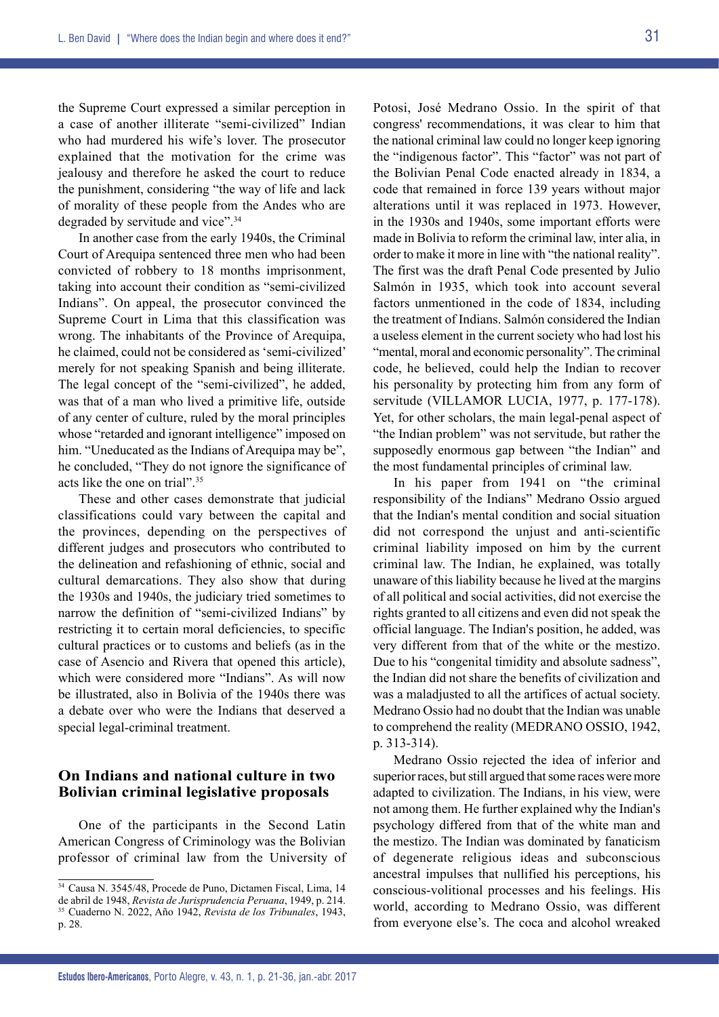the Supreme Court expressed a similar perception in a case of another illiterate "semi-civilized" Indian who had murdered his wife's lover. The prosecutor explained that the motivation for the crime was jealousy and therefore he asked the court to reduce the punishment, considering "the way of life and lack of morality of these people from the Andes who are degraded by servitude and vice".<sup>34</sup>

In another case from the early 1940s, the Criminal Court of Arequipa sentenced three men who had been convicted of robbery to 18 months imprisonment, taking into account their condition as "semi-civilized Indians". On appeal, the prosecutor convinced the Supreme Court in Lima that this classification was wrong. The inhabitants of the Province of Arequipa, he claimed, could not be considered as 'semi-civilized' merely for not speaking Spanish and being illiterate. The legal concept of the "semi-civilized", he added, was that of a man who lived a primitive life, outside of any center of culture, ruled by the moral principles whose "retarded and ignorant intelligence" imposed on him. "Uneducated as the Indians of Arequipa may be", he concluded, "They do not ignore the significance of acts like the one on trial".35

These and other cases demonstrate that judicial classifications could vary between the capital and the provinces, depending on the perspectives of different judges and prosecutors who contributed to the delineation and refashioning of ethnic, social and cultural demarcations. They also show that during the 1930s and 1940s, the judiciary tried sometimes to narrow the definition of "semi-civilized Indians" by restricting it to certain moral deficiencies, to specific cultural practices or to customs and beliefs (as in the case of Asencio and Rivera that opened this article), which were considered more "Indians". As will now be illustrated, also in Bolivia of the 1940s there was a debate over who were the Indians that deserved a special legal-criminal treatment.

# **On Indians and national culture in two Bolivian criminal legislative proposals**

One of the participants in the Second Latin American Congress of Criminology was the Bolivian professor of criminal law from the University of Potosi, José Medrano Ossio. In the spirit of that congress' recommendations, it was clear to him that the national criminal law could no longer keep ignoring the "indigenous factor". This "factor" was not part of the Bolivian Penal Code enacted already in 1834, a code that remained in force 139 years without major alterations until it was replaced in 1973. However, in the 1930s and 1940s, some important efforts were made in Bolivia to reform the criminal law, inter alia, in order to make it more in line with "the national reality". The first was the draft Penal Code presented by Julio Salmón in 1935, which took into account several factors unmentioned in the code of 1834, including the treatment of Indians. Salmón considered the Indian a useless element in the current society who had lost his "mental, moral and economic personality". The criminal code, he believed, could help the Indian to recover his personality by protecting him from any form of servitude (VILLAMOR LUCIA, 1977, p. 177-178). Yet, for other scholars, the main legal-penal aspect of "the Indian problem" was not servitude, but rather the supposedly enormous gap between "the Indian" and the most fundamental principles of criminal law.

In his paper from 1941 on "the criminal responsibility of the Indians" Medrano Ossio argued that the Indian's mental condition and social situation did not correspond the unjust and anti-scientific criminal liability imposed on him by the current criminal law. The Indian, he explained, was totally unaware of this liability because he lived at the margins of all political and social activities, did not exercise the rights granted to all citizens and even did not speak the official language. The Indian's position, he added, was very different from that of the white or the mestizo. Due to his "congenital timidity and absolute sadness", the Indian did not share the benefits of civilization and was a maladjusted to all the artifices of actual society. Medrano Ossio had no doubt that the Indian was unable to comprehend the reality (MEDRANO OSSIO, 1942, p. 313-314).

Medrano Ossio rejected the idea of inferior and superior races, but still argued that some races were more adapted to civilization. The Indians, in his view, were not among them. He further explained why the Indian's psychology differed from that of the white man and the mestizo. The Indian was dominated by fanaticism of degenerate religious ideas and subconscious ancestral impulses that nullified his perceptions, his conscious-volitional processes and his feelings. His world, according to Medrano Ossio, was different from everyone else's. The coca and alcohol wreaked

<sup>34</sup> Causa N. 3545/48, Procede de Puno, Dictamen Fiscal, Lima, 14 de abril de 1948, *Revista de Jurisprudencia Peruana*, 1949, p. 214. <sup>35</sup> Cuaderno N. 2022, Año 1942, *Revista de los Tribunales*, 1943, p. 28.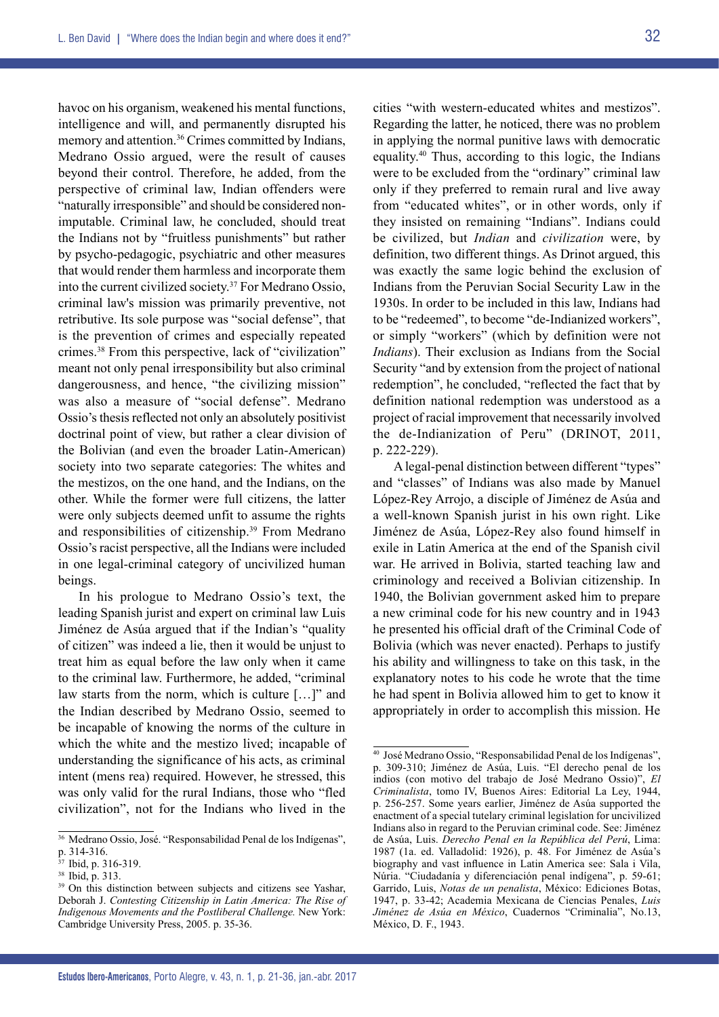32

havoc on his organism, weakened his mental functions, intelligence and will, and permanently disrupted his memory and attention.<sup>36</sup> Crimes committed by Indians, Medrano Ossio argued, were the result of causes beyond their control. Therefore, he added, from the perspective of criminal law, Indian offenders were "naturally irresponsible" and should be considered nonimputable. Criminal law, he concluded, should treat the Indians not by "fruitless punishments" but rather by psycho-pedagogic, psychiatric and other measures that would render them harmless and incorporate them into the current civilized society.37 For Medrano Ossio, criminal law's mission was primarily preventive, not retributive. Its sole purpose was "social defense", that is the prevention of crimes and especially repeated crimes.38 From this perspective, lack of "civilization" meant not only penal irresponsibility but also criminal dangerousness, and hence, "the civilizing mission" was also a measure of "social defense". Medrano Ossio's thesis reflected not only an absolutely positivist doctrinal point of view, but rather a clear division of the Bolivian (and even the broader Latin-American) society into two separate categories: The whites and the mestizos, on the one hand, and the Indians, on the other. While the former were full citizens, the latter were only subjects deemed unfit to assume the rights and responsibilities of citizenship.<sup>39</sup> From Medrano Ossio's racist perspective, all the Indians were included in one legal-criminal category of uncivilized human beings.

In his prologue to Medrano Ossio's text, the leading Spanish jurist and expert on criminal law Luis Jiménez de Asúa argued that if the Indian's "quality of citizen" was indeed a lie, then it would be unjust to treat him as equal before the law only when it came to the criminal law. Furthermore, he added, "criminal law starts from the norm, which is culture […]" and the Indian described by Medrano Ossio, seemed to be incapable of knowing the norms of the culture in which the white and the mestizo lived; incapable of understanding the significance of his acts, as criminal intent (mens rea) required. However, he stressed, this was only valid for the rural Indians, those who "fled civilization", not for the Indians who lived in the

cities "with western-educated whites and mestizos". Regarding the latter, he noticed, there was no problem in applying the normal punitive laws with democratic equality.40 Thus, according to this logic, the Indians were to be excluded from the "ordinary" criminal law only if they preferred to remain rural and live away from "educated whites", or in other words, only if they insisted on remaining "Indians". Indians could be civilized, but *Indian* and *civilization* were, by definition, two different things. As Drinot argued, this was exactly the same logic behind the exclusion of Indians from the Peruvian Social Security Law in the 1930s. In order to be included in this law, Indians had to be "redeemed", to become "de-Indianized workers", or simply "workers" (which by definition were not *Indians*). Their exclusion as Indians from the Social Security "and by extension from the project of national redemption", he concluded, "reflected the fact that by definition national redemption was understood as a project of racial improvement that necessarily involved the de-Indianization of Peru" (DRINOT, 2011, p. 222-229).

A legal-penal distinction between different "types" and "classes" of Indians was also made by Manuel López-Rey Arrojo, a disciple of Jiménez de Asúa and a well-known Spanish jurist in his own right. Like Jiménez de Asúa, López-Rey also found himself in exile in Latin America at the end of the Spanish civil war. He arrived in Bolivia, started teaching law and criminology and received a Bolivian citizenship. In 1940, the Bolivian government asked him to prepare a new criminal code for his new country and in 1943 he presented his official draft of the Criminal Code of Bolivia (which was never enacted). Perhaps to justify his ability and willingness to take on this task, in the explanatory notes to his code he wrote that the time he had spent in Bolivia allowed him to get to know it appropriately in order to accomplish this mission. He

<sup>&</sup>lt;sup>36</sup> Medrano Ossio, José. "Responsabilidad Penal de los Indígenas", p. 314-316.

<sup>&</sup>lt;sup>37</sup> Ibid, p. 316-319.<br><sup>38</sup> Ibid, p. 313.

<sup>&</sup>lt;sup>39</sup> On this distinction between subjects and citizens see Yashar, Deborah J. *Contesting Citizenship in Latin America: The Rise of Indigenous Movements and the Postliberal Challenge.* New York: Cambridge University Press, 2005. p. 35-36.

<sup>40</sup> José Medrano Ossio, "Responsabilidad Penal de los Indígenas", p. 309-310; Jiménez de Asúa, Luis. "El derecho penal de los indios (con motivo del trabajo de José Medrano Ossio)", *El Criminalista*, tomo IV, Buenos Aires: Editorial La Ley, 1944, p. 256-257. Some years earlier, Jiménez de Asúa supported the enactment of a special tutelary criminal legislation for uncivilized Indians also in regard to the Peruvian criminal code. See: Jiménez de Asúa, Luis. *Derecho Penal en la República del Perú*, Lima: 1987 (1a. ed. Valladolid: 1926), p. 48. For Jiménez de Asúa's biography and vast influence in Latin America see: Sala i Vila, Núria. "Ciudadanía y diferenciación penal indígena", p. 59-61; Garrido, Luis, *Notas de un penalista*, México: Ediciones Botas, 1947, p. 33-42; Academia Mexicana de Ciencias Penales, *Luis Jiménez de Asúa en México*, Cuadernos "Criminalia", No.13, México, D. F., 1943.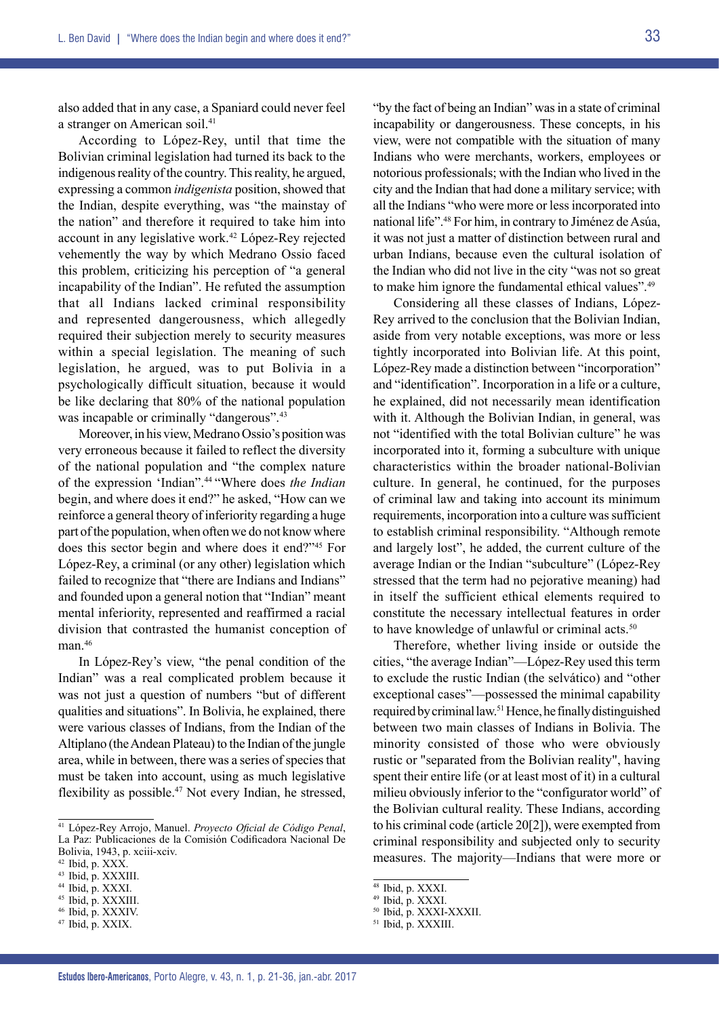also added that in any case, a Spaniard could never feel a stranger on American soil.<sup>41</sup>

According to López-Rey, until that time the Bolivian criminal legislation had turned its back to the indigenous reality of the country. This reality, he argued, expressing a common *indigenista* position, showed that the Indian, despite everything, was "the mainstay of the nation" and therefore it required to take him into account in any legislative work.42 López-Rey rejected vehemently the way by which Medrano Ossio faced this problem, criticizing his perception of "a general incapability of the Indian". He refuted the assumption that all Indians lacked criminal responsibility and represented dangerousness, which allegedly required their subjection merely to security measures within a special legislation. The meaning of such legislation, he argued, was to put Bolivia in a psychologically difficult situation, because it would be like declaring that 80% of the national population was incapable or criminally "dangerous".<sup>43</sup>

Moreover, in his view, Medrano Ossio's position was very erroneous because it failed to reflect the diversity of the national population and "the complex nature of the expression 'Indian".44 "Where does *the Indian* begin, and where does it end?" he asked, "How can we reinforce a general theory of inferiority regarding a huge part of the population, when often we do not know where does this sector begin and where does it end?"45 For López-Rey, a criminal (or any other) legislation which failed to recognize that "there are Indians and Indians" and founded upon a general notion that "Indian" meant mental inferiority, represented and reaffirmed a racial division that contrasted the humanist conception of man.<sup>46</sup>

In López-Rey's view, "the penal condition of the Indian" was a real complicated problem because it was not just a question of numbers "but of different" qualities and situations". In Bolivia, he explained, there were various classes of Indians, from the Indian of the Altiplano (the Andean Plateau) to the Indian of the jungle area, while in between, there was a series of species that must be taken into account, using as much legislative flexibility as possible.<sup>47</sup> Not every Indian, he stressed,

<sup>46</sup> Ibid, p. XXXIV.

"by the fact of being an Indian" was in a state of criminal incapability or dangerousness. These concepts, in his view, were not compatible with the situation of many Indians who were merchants, workers, employees or notorious professionals; with the Indian who lived in the city and the Indian that had done a military service; with all the Indians "who were more or less incorporated into national life".48 For him, in contrary to Jiménez de Asúa, it was not just a matter of distinction between rural and urban Indians, because even the cultural isolation of the Indian who did not live in the city "was not so great to make him ignore the fundamental ethical values".49

Considering all these classes of Indians, López-Rey arrived to the conclusion that the Bolivian Indian, aside from very notable exceptions, was more or less tightly incorporated into Bolivian life. At this point, López-Rey made a distinction between "incorporation" and "identification". Incorporation in a life or a culture, he explained, did not necessarily mean identification with it. Although the Bolivian Indian, in general, was not "identified with the total Bolivian culture" he was incorporated into it, forming a subculture with unique characteristics within the broader national-Bolivian culture. In general, he continued, for the purposes of criminal law and taking into account its minimum requirements, incorporation into a culture was sufficient to establish criminal responsibility. "Although remote and largely lost", he added, the current culture of the average Indian or the Indian "subculture" (López-Rey stressed that the term had no pejorative meaning) had in itself the sufficient ethical elements required to constitute the necessary intellectual features in order to have knowledge of unlawful or criminal acts.<sup>50</sup>

Therefore, whether living inside or outside the cities, "the average Indian"—López-Rey used this term to exclude the rustic Indian (the selvático) and "other exceptional cases"—possessed the minimal capability required by criminal law.51 Hence, he finally distinguished between two main classes of Indians in Bolivia. The minority consisted of those who were obviously rustic or "separated from the Bolivian reality", having spent their entire life (or at least most of it) in a cultural milieu obviously inferior to the "configurator world" of the Bolivian cultural reality. These Indians, according to his criminal code (article 20[2]), were exempted from criminal responsibility and subjected only to security measures. The majority—Indians that were more or

<sup>41</sup> López-Rey Arrojo, Manuel. *Proyecto Oficial de Código Penal*, La Paz: Publicaciones de la Comisión Codificadora Nacional De Bolivia, 1943, p. xciii-xciv.<br><sup>42</sup> Ibid, p. XXX.

 $43$  Ibid, p. XXXIII.  $44$  Ibid, p. XXXI.

<sup>45</sup> Ibid, p. XXXIII.

<sup>47</sup> Ibid, p. XXIX.

<sup>48</sup> Ibid, p. XXXI.

<sup>49</sup> Ibid, p. XXXI.

<sup>50</sup> Ibid, p. XXXI-XXXII.

<sup>51</sup> Ibid, p. XXXIII.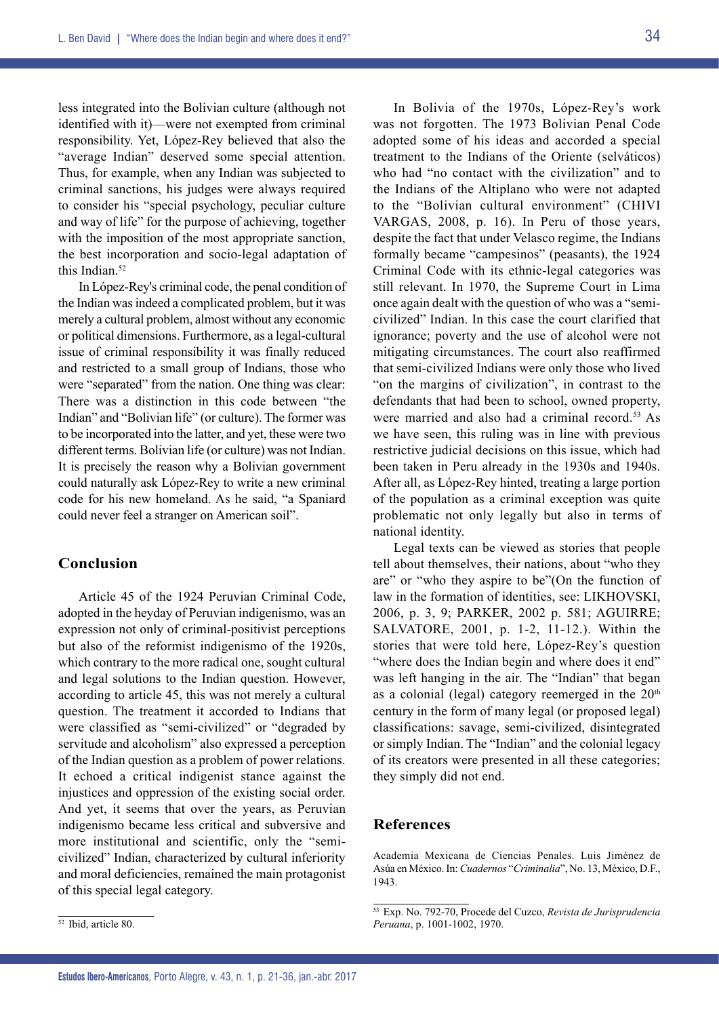less integrated into the Bolivian culture (although not identified with it)—were not exempted from criminal responsibility. Yet, López-Rey believed that also the "average Indian" deserved some special attention. Thus, for example, when any Indian was subjected to criminal sanctions, his judges were always required to consider his "special psychology, peculiar culture and way of life" for the purpose of achieving, together with the imposition of the most appropriate sanction, the best incorporation and socio-legal adaptation of this Indian.<sup>52</sup>

In López-Rey's criminal code, the penal condition of the Indian was indeed a complicated problem, but it was merely a cultural problem, almost without any economic or political dimensions. Furthermore, as a legal-cultural issue of criminal responsibility it was finally reduced and restricted to a small group of Indians, those who were "separated" from the nation. One thing was clear: There was a distinction in this code between "the Indian" and "Bolivian life" (or culture). The former was to be incorporated into the latter, and yet, these were two different terms. Bolivian life (or culture) was not Indian. It is precisely the reason why a Bolivian government could naturally ask López-Rey to write a new criminal code for his new homeland. As he said, "a Spaniard could never feel a stranger on American soil".

# **Conclusion**

Article 45 of the 1924 Peruvian Criminal Code, adopted in the heyday of Peruvian indigenismo, was an expression not only of criminal-positivist perceptions but also of the reformist indigenismo of the 1920s, which contrary to the more radical one, sought cultural and legal solutions to the Indian question. However, according to article 45, this was not merely a cultural question. The treatment it accorded to Indians that were classified as "semi-civilized" or "degraded by servitude and alcoholism" also expressed a perception of the Indian question as a problem of power relations. It echoed a critical indigenist stance against the injustices and oppression of the existing social order. And yet, it seems that over the years, as Peruvian indigenismo became less critical and subversive and more institutional and scientific, only the "semicivilized" Indian, characterized by cultural inferiority and moral deficiencies, remained the main protagonist of this special legal category.

Legal texts can be viewed as stories that people tell about themselves, their nations, about "who they are" or "who they aspire to be"(On the function of law in the formation of identities, see: LIKHOVSKI, 2006, p. 3, 9; PARKER, 2002 p. 581; AGUIRRE; SALVATORE, 2001, p. 1-2, 11-12.). Within the stories that were told here, López-Rey's question "where does the Indian begin and where does it end" was left hanging in the air. The "Indian" that began as a colonial (legal) category reemerged in the  $20<sup>th</sup>$ century in the form of many legal (or proposed legal) classifications: savage, semi-civilized, disintegrated or simply Indian. The "Indian" and the colonial legacy of its creators were presented in all these categories; they simply did not end.

### **References**

Academia Mexicana de Ciencias Penales. Luis Jiménez de Asúa en México. In: *Cuadernos* "*Criminalia*", No. 13, México, D.F., 1943.

In Bolivia of the 1970s, López-Rey's work was not forgotten. The 1973 Bolivian Penal Code adopted some of his ideas and accorded a special treatment to the Indians of the Oriente (selváticos) who had "no contact with the civilization" and to the Indians of the Altiplano who were not adapted to the "Bolivian cultural environment" (CHIVI VARGAS, 2008, p. 16). In Peru of those years, despite the fact that under Velasco regime, the Indians formally became "campesinos" (peasants), the 1924 Criminal Code with its ethnic-legal categories was still relevant. In 1970, the Supreme Court in Lima once again dealt with the question of who was a "semicivilized" Indian. In this case the court clarified that ignorance; poverty and the use of alcohol were not mitigating circumstances. The court also reaffirmed that semi-civilized Indians were only those who lived "on the margins of civilization", in contrast to the defendants that had been to school, owned property, were married and also had a criminal record.<sup>53</sup> As we have seen, this ruling was in line with previous restrictive judicial decisions on this issue, which had been taken in Peru already in the 1930s and 1940s. After all, as López-Rey hinted, treating a large portion of the population as a criminal exception was quite problematic not only legally but also in terms of national identity.

<sup>53</sup> Exp. No. 792-70, Procede del Cuzco, *Revista de Jurisprudencia Peruana*, p. 1001-1002, 1970.

<sup>52</sup> Ibid, article 80.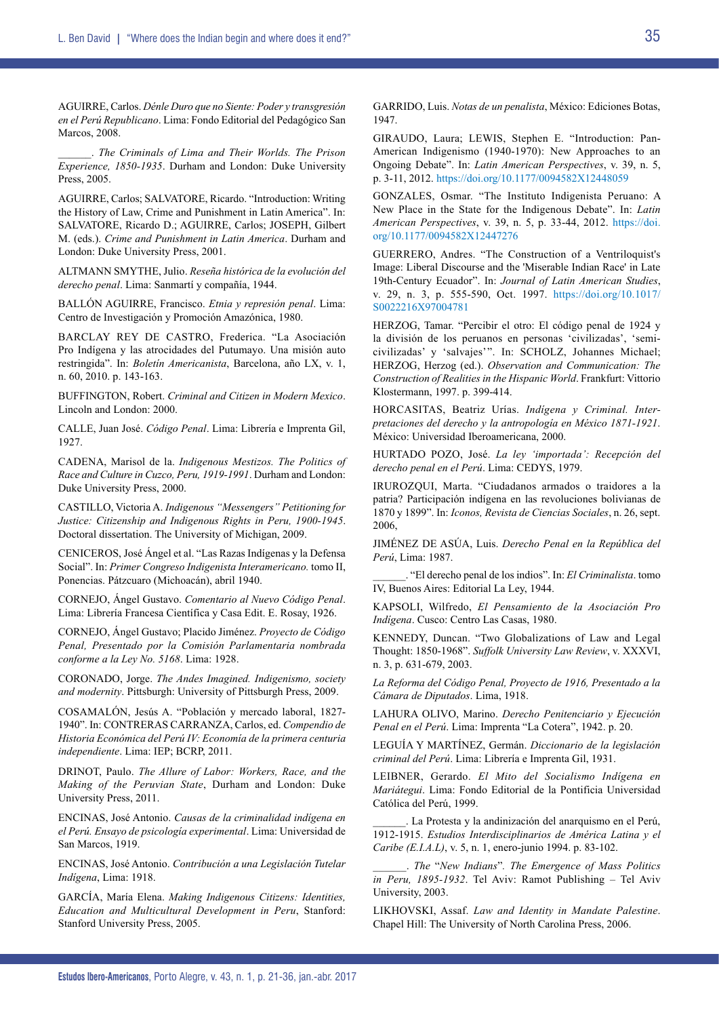AGUIRRE, Carlos. *Dénle Duro que no Siente: Poder y transgresión en el Perú Republicano*. Lima: Fondo Editorial del Pedagógico San Marcos, 2008.

\_\_\_\_\_\_. *The Criminals of Lima and Their Worlds. The Prison Experience, 1850-1935*. Durham and London: Duke University Press, 2005.

AGUIRRE, Carlos; SALVATORE, Ricardo. "Introduction: Writing the History of Law, Crime and Punishment in Latin America". In: SALVATORE, Ricardo D.; AGUIRRE, Carlos; JOSEPH, Gilbert M. (eds.). *Crime and Punishment in Latin America*. Durham and London: Duke University Press, 2001.

ALTMANN SMYTHE, Julio. *Reseña histórica de la evolución del derecho penal*. Lima: Sanmartí y compañía, 1944.

BALLÓN AGUIRRE, Francisco. *Etnia y represión penal*. Lima: Centro de Investigación y Promoción Amazónica, 1980.

BARCLAY REY DE CASTRO, Frederica. "La Asociación Pro Indígena y las atrocidades del Putumayo. Una misión auto restringida". In: *Boletín Americanista*, Barcelona, año LX, v. 1, n. 60, 2010. p. 143-163.

BUFFINGTON, Robert. *Criminal and Citizen in Modern Mexico*. Lincoln and London: 2000.

CALLE, Juan José. *Código Penal*. Lima: Librería e Imprenta Gil, 1927.

CADENA, Marisol de la. *Indigenous Mestizos. The Politics of Race and Culture in Cuzco, Peru, 1919-1991*. Durham and London: Duke University Press, 2000.

CASTILLO, Victoria A. *Indigenous "Messengers" Petitioning for Justice: Citizenship and Indigenous Rights in Peru, 1900-1945*. Doctoral dissertation. The University of Michigan, 2009.

CENICEROS, José Ángel et al. "Las Razas Indígenas y la Defensa Social". In: *Primer Congreso Indigenista Interamericano.* tomo II, Ponencias. Pátzcuaro (Michoacán), abril 1940.

CORNEJO, Ángel Gustavo. *Comentario al Nuevo Código Penal*. Lima: Librería Francesa Científica y Casa Edit. E. Rosay, 1926.

CORNEJO, Ángel Gustavo; Placido Jiménez. *Proyecto de Código Penal, Presentado por la Comisión Parlamentaria nombrada conforme a la Ley No. 5168*. Lima: 1928.

CORONADO, Jorge. *The Andes Imagined. Indigenismo, society and modernity*. Pittsburgh: University of Pittsburgh Press, 2009.

COSAMALÓN, Jesús A. "Población y mercado laboral, 1827- 1940". In: Contreras Carranza, Carlos, ed. *Compendio de Historia Económica del Perú IV: Economía de la primera centuria independiente*. Lima: IEP; BCRP, 2011.

DRINOT, Paulo. *The Allure of Labor: Workers, Race, and the Making of the Peruvian State*, Durham and London: Duke University Press, 2011.

ENCINAS, José Antonio. *Causas de la criminalidad indígena en el Perú. Ensayo de psicología experimental*. Lima: Universidad de San Marcos, 1919.

ENCINAS, José Antonio. *Contribución a una Legislación Tutelar Indígena*, Lima: 1918.

GARCÍA, María Elena. *Making Indigenous Citizens: Identities, Education and Multicultural Development in Peru*, Stanford: Stanford University Press, 2005.

GARRIDO, Luis. *Notas de un penalista*, México: Ediciones Botas, 1947.

GIRAUDO, Laura; LEWIS, Stephen E. "Introduction: Pan-American Indigenismo (1940-1970): New Approaches to an Ongoing Debate". In: *Latin American Perspectives*, v. 39, n. 5, p. 3-11, 2012.<https://doi.org/10.1177/0094582X12448059>

GONZALES, Osmar. "The Instituto Indigenista Peruano: A New Place in the State for the Indigenous Debate". In: *Latin American Perspectives*, v. 39, n. 5, p. 33-44, 2012. [https://doi.](https://doi.org/10.1177/0094582X12447276) [org/10.1177/0094582X12447276](https://doi.org/10.1177/0094582X12447276)

GUERRERO, Andres. "The Construction of a Ventriloquist's Image: Liberal Discourse and the 'Miserable Indian Race' in Late 19th-Century Ecuador". In: *Journal of Latin American Studies*, v. 29, n. 3, p. 555-590, Oct. 1997. [https://doi.org/10.1017/](https://doi.org/10.1017/S0022216X97004781) [S0022216X97004781](https://doi.org/10.1017/S0022216X97004781)

HERZOG, Tamar. "Percibir el otro: El código penal de 1924 y la división de los peruanos en personas 'civilizadas', 'semicivilizadas' y 'salvajes'". In: SCHOLZ, Johannes Michael; HERZOG, Herzog (ed.). *Observation and Communication: The Construction of Realities in the Hispanic World*. Frankfurt: Vittorio Klostermann, 1997. p. 399-414.

HORCASITAS, Beatriz Urías. *Indígena y Criminal. Interpretaciones del derecho y la antropología en México 1871-1921*. México: Universidad Iberoamericana, 2000.

HURTADO POZO, José. *La ley 'importada': Recepción del derecho penal en el Perú*. Lima: CEDYS, 1979.

IRUROZQUI, Marta. "Ciudadanos armados o traidores a la patria? Participación indígena en las revoluciones bolivianas de 1870 y 1899". In: *Iconos, Revista de Ciencias Sociales*, n. 26, sept. 2006,

JIMÉNEZ DE ASÚA, Luis. *Derecho Penal en la República del Perú*, Lima: 1987.

\_\_\_\_\_\_. "El derecho penal de los indios". In: *El Criminalista*. tomo IV, Buenos Aires: Editorial La Ley, 1944.

KAPSOLI, Wilfredo, *El Pensamiento de la Asociación Pro Indígena*. Cusco: Centro Las Casas, 1980.

KENNEDY, Duncan. "Two Globalizations of Law and Legal Thought: 1850-1968". *Suffolk University Law Review*, v. XXXVI, n. 3, p. 631-679, 2003.

*La Reforma del Código Penal, Proyecto de 1916, Presentado a la Cámara de Diputados*. Lima, 1918.

LAHURA OLIVO, Marino. *Derecho Penitenciario y Ejecución Penal en el Perú*. Lima: Imprenta "La Cotera", 1942. p. 20.

LEGUÍA Y MARTÍNEZ, Germán. *Diccionario de la legislación criminal del Perú*. Lima: Librería e Imprenta Gil, 1931.

LEIBNER, Gerardo. *El Mito del Socialismo Indígena en Mariátegui*. Lima: Fondo Editorial de la Pontificia Universidad Católica del Perú, 1999.

\_\_\_\_\_\_. La Protesta y la andinización del anarquismo en el Perú, 1912-1915. *Estudios Interdisciplinarios de América Latina y el Caribe (E.I.A.L)*, v. 5, n. 1, enero-junio 1994. p. 83-102.

\_\_\_\_\_\_. *The* "*New Indians*"*. The Emergence of Mass Politics in Peru, 1895-1932*. Tel Aviv: Ramot Publishing – Tel Aviv University, 2003.

LIKHOVSKI, Assaf. *Law and Identity in Mandate Palestine*. Chapel Hill: The University of North Carolina Press, 2006.